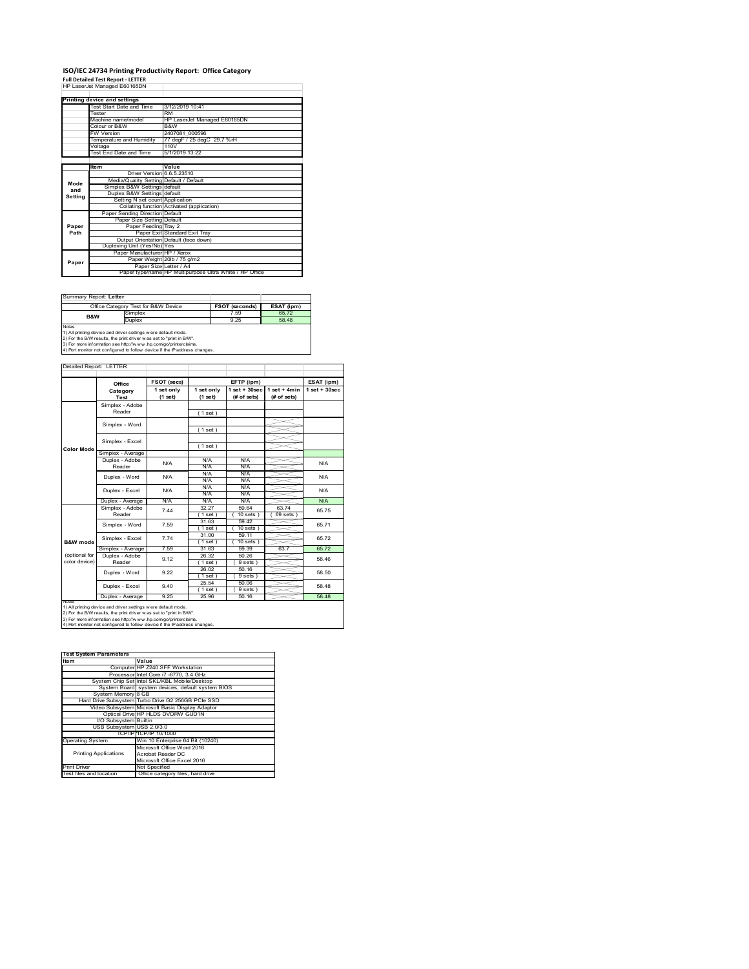### **ISO/IEC 24734 Printing Productivity Report: Office Category**

**Full Detailed Test Report ‐ LETTER** HP LaserJet Managed E60165DN

|         | Printing device and settings            |                                                         |
|---------|-----------------------------------------|---------------------------------------------------------|
|         | Test Start Date and Time                | 3/12/2019 10:41                                         |
|         | Tester                                  | <b>RM</b>                                               |
|         | Machine name/model                      | HP LaserJet Managed E60165DN                            |
|         | Colour or B&W                           | B&W                                                     |
|         | <b>FW Version</b>                       | 2407081 000596                                          |
|         | Temperature and Humidity                | 77 degF / 25 degC 29.7 %rH                              |
|         | Voltage                                 | 110V                                                    |
|         | <b>Test End Date and Time</b>           | 5/1/2019 13:22                                          |
|         |                                         |                                                         |
|         | <b>Item</b>                             | Value                                                   |
|         | Driver Version 6.6.5.23510              |                                                         |
| Mode    | Media/Quality Setting Default / Default |                                                         |
| and     | Simplex B&W Settings default            |                                                         |
| Setting | Duplex B&W Settings default             |                                                         |
|         | Setting N set count Application         |                                                         |
|         |                                         | Collating function Activated (application)              |
|         | Paper Sending Direction Default         |                                                         |
|         | Paper Size Setting Default              |                                                         |
| Paper   | Paper Feeding Tray 2                    |                                                         |
| Path    |                                         | Paper Exit Standard Exit Tray                           |
|         |                                         | Output Orientation Default (face down)                  |
|         | Duplexing Unit (Yes/No) Yes             |                                                         |
|         | Paper Manufacturer HP / Xerox           |                                                         |
| Paper   |                                         | Paper Weight 20lb / 75 g/m2                             |
|         | Paper Size Letter / A4                  |                                                         |
|         |                                         | Paper type/name HP Multipurpose Ultra White / HP Office |

| Summary Report: Letter |                                                                                                                                               |                       |            |
|------------------------|-----------------------------------------------------------------------------------------------------------------------------------------------|-----------------------|------------|
|                        | Office Category Test for B&W Device                                                                                                           | <b>FSOT (seconds)</b> | ESAT (ipm) |
| <b>B&amp;W</b>         | Simplex                                                                                                                                       | 7.59                  | 65.72      |
|                        | Duplex                                                                                                                                        | 9 25                  | 58 48      |
| <b>Notes</b>           | 1) All printing device and driver settings were default mode.<br>2) For the B/W results, the print driver was set to "print in B/W".          |                       |            |
|                        | 3) For more information see http://www.hp.com/go/printerclaims.<br>4) Port monitor not configured to follow device if the IP address changes. |                       |            |

tailed Report: LETTER **FSOT (secs) ESAT (ipm) EFTP (ipm) Office 1 set + 30sec 1 set only (1 set) 1 set only (1 set) 1 set + 30sec (# of sets) 1 set + 4min (# of sets) Category Test** Simplex - Adobe Reader ( 1 set ) Simplex - Word ( 1 set ) Simplex - Excel ( 1 set ) **Color Mode** Simplex - Average Duplex - Adobe N/A  $N/f$ N/A Reader N/A N/A N/A N/A Duplex - Word N/A N/A N/A N/A<br>N/A N/A<br>N/A N/A Duplex - Excel N/A N/A Puplex - Average N/A N/A N/A N/A N/A N/A N/A<br>
Simplex - Adobe 7.44 32.27 59.64 63.74 65.7<br>
Reader 7.44 32.27 59.64 69.845 65.7 7.44 65.75 32.27 59.64 63.74  $(10 \text{ sets}) (69 \text{ sets})$ 31.63 59.42 65.71 Simplex - Word 7.59 ( 1 set ) ( 10 set<br>
( 1 set ) ( 10 set<br>
( 1 set ) ( 10 set )<br>
31.63 59.39 ( 1 set ) ( 10 sets ) 31.00 59.11 Simplex - Excel 7.74 65.72 **B&W** mod Simplex - Average 7.59 31.63 59.39 63.7 65.72<br>
Duplex - Adobe 9.12 26.32 50.26 58.46<br>
Reader 9.12 (1 set ) (9 sets) 58.46 (optional for color device) 26.32 50.26<br>(1 set) (9 sets 9.12  $\frac{20.32}{(1 \text{ set})}$   $\frac{90.20}{(9 \text{ sets})}$  58.46 26.02 50.16 Duplex - Word 9.22 58.50  $\frac{(1 \text{ set})}{25.54}$ <br> $\frac{(1 \text{ set})}{25.96}$  $( 9 \text{ sets } )$ <br> $50.06$ ⋚ 9.40 58.48 Duplex - Excel  $(9 \text{ se}$ <sub>50.1</sub> Duplex - Average 9.25 25.96 50.16 50.16 58.48 notes<br>1) All printing device and driver settings were default mode.<br>2) For the B/W results, the print driver was set to "print in B/W".<br>3) For more information see http://www.hp.com/go/printerclaims.<br>4) Por moralitor not c

| <b>Test System Parameters</b> |                                                    |
|-------------------------------|----------------------------------------------------|
| Item                          | Value                                              |
|                               | Computer HP Z240 SFF Workstation                   |
|                               | Processor Intel Core i7 -6770, 3.4 GHz             |
|                               | System Chip Set Intel SKL/KBL Mobile/Desktop       |
|                               | System Board system devices, default system BIOS   |
| System Memory 8 GB            |                                                    |
|                               | Hard Drive Subsystem Turbo Drive G2 256GB PCle SSD |
|                               | Video Subsystem Microsoft Basic Display Adaptor    |
|                               | Optical Drive HP HLDS DVDRW GUD1N                  |
| I/O Subsystem Builtin         |                                                    |
| USB Subsystem USB 2.0/3.0     |                                                    |
|                               | TCP/IPITCP/IP 10/1000                              |
| <b>Operating System</b>       | Win 10 Enterprise 64 Bit (10240)                   |
|                               | Microsoft Office Word 2016                         |
| <b>Printing Applications</b>  | Acrobat Reader DC                                  |
|                               | Microsoft Office Excel 2016                        |
| <b>Print Driver</b>           | Not Specified                                      |
| Test files and location       | Office category files, hard drive                  |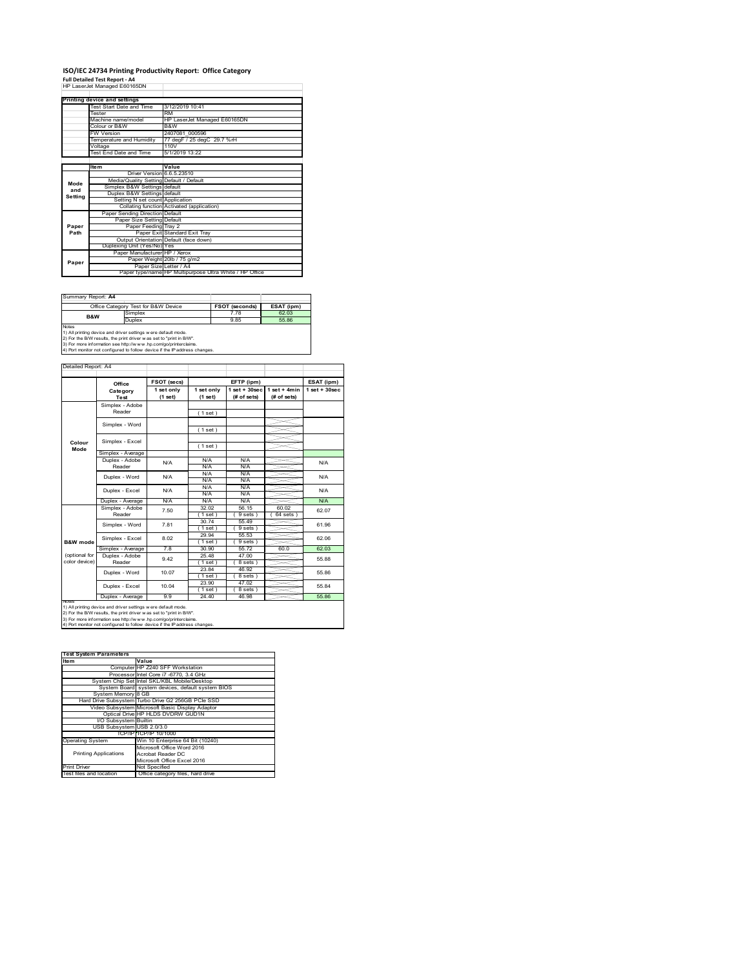#### **ISO/IEC 24734 Printing Productivity Report: Office Category Full Detailed Test Report ‐ A4** HP LaserJet Managed E60165DN

|         | <b>HE LASSIVEL MAHAGED E00 103DIV</b>   |                                                         |
|---------|-----------------------------------------|---------------------------------------------------------|
|         | Printing device and settings            |                                                         |
|         | Test Start Date and Time                | 3/12/2019 10:41                                         |
|         | <b>Tester</b>                           | <b>RM</b>                                               |
|         | Machine name/model                      | HP LaserJet Managed E60165DN                            |
|         | Colour or B&W                           | B&W                                                     |
|         | <b>FW Version</b>                       | 2407081 000596                                          |
|         | Temperature and Humidity                | 77 degF / 25 degC 29.7 %rH                              |
|         | Voltage                                 | 110V                                                    |
|         | Test End Date and Time                  | 5/1/2019 13:22                                          |
|         |                                         |                                                         |
|         | <b>Item</b>                             | Value                                                   |
|         | Driver Version 6.6.5.23510              |                                                         |
| Mode    | Media/Quality Setting Default / Default |                                                         |
| and     | Simplex B&W Settings default            |                                                         |
| Setting | Duplex B&W Settings default             |                                                         |
|         | Setting N set count Application         |                                                         |
|         |                                         | Collating function Activated (application)              |
|         | Paper Sending Direction Default         |                                                         |
|         | Paper Size Setting Default              |                                                         |
| Paper   | Paper Feeding Tray 2                    |                                                         |
| Path    |                                         | Paper Exit Standard Exit Tray                           |
|         |                                         | Output Orientation Default (face down)                  |
|         | Duplexing Unit (Yes/No) Yes             |                                                         |
|         | Paper Manufacturer HP / Xerox           |                                                         |
| Paper   |                                         | Paper Weight 20lb / 75 g/m2                             |
|         | Paper Size Letter / A4                  |                                                         |
|         |                                         | Paper type/name HP Multipurpose Ultra White / HP Office |

| Office Category Test for B&W Device                                                                                                                                                                                                                                                    | <b>FSOT (seconds)</b> | ESAT (ipm) |
|----------------------------------------------------------------------------------------------------------------------------------------------------------------------------------------------------------------------------------------------------------------------------------------|-----------------------|------------|
| Simplex                                                                                                                                                                                                                                                                                | 7.78                  | 62.03      |
| Duplex                                                                                                                                                                                                                                                                                 | 985                   | 55.86      |
| 1) All printing device and driver settings w ere default mode.<br>2) For the B/W results, the print driver was set to "print in B/W".<br>3) For more information see http://www.hp.com/go/printerclaims.<br>4) Port monitor not configured to follow device if the IP address changes. |                       |            |
|                                                                                                                                                                                                                                                                                        |                       |            |

ailed Report: A4 **FSOT** (secs) **FETP** (ipm) **ESAT** (ipm) **1 set + 30sec 1 set only (1 set) 1 set only (1 set) 1 set + 30sec (# of sets) 1 set + 4min (# of sets) Category Test** Simplex - Adobe Reader ( 1 set ) Simplex - Word ( 1 set ) Simplex - Excel ( 1 set ) **Colour Mode** Simplex - Average Duplex - Adobe  $N/f$  $N/A$   $N/A$   $N/A$   $N/A$   $N/A$ Reader N/A N/A N/A N/A N/A Duplex - Word N/A N/A N/A N/A N/A Duplex - Excel N/A N/A  $N/A$   $N/A$   $N$ . Puplex - Average N/A N/A N/A N/A N/A N/A N/A<br>  $\overline{S}$  Simplex - Adobe 7.50 32.02 56.15 60.02 52.0<br>
Reader 7.50 32.02 58.15 69.9815 62.0 7.50 62.07 32.02 56.15 60.02  $(9 \text{ sets}) (64 \text{ sets})$ 30.74 55.49 61.96 Simplex - Word 7.81 ( 1 set ) ( 9 sets ) 29.94 55.53 Simplex - Excel 8.02 62.06 **B&W** mod (1 set ) (9 sets<br>30.90 55.72 Simplex - Average 7.8 30.90 55.72 60.0 62.03<br>
Duplex - Adobe 9.42 25.48 47.00 55.88<br>
Reader 9.42 (1 set ) (8 sets) 55.88 (optional for color device) 9.42 25.48 47.00<br>(1 set) (8 sets 55.88 ( 1 set ) ( 8 sets )<br>23.84 46.92 Duplex - Word 10.07 46.92 55.86  $(1 \text{ set})$ <br>23.90<br> $(1 \text{ set})$ <br>24.40  $(8 \text{ sets})$ <br> $47.02$ ₹ Duplex - Excel 10.04 55.84  $(8 \text{ se}$   $46 \text{ °C})$ Duplex - Average 9.9 24.40 46.98 55.86 notes<br>1) All printing device and driver settings were default mode.<br>2) For the B/W results, the print driver was set to "print in B/W".<br>3) For more information see http://www.hp.com/go/printerclaims.<br>4) Por moralitor not c

| <b>Test System Parameters</b> |                                                    |
|-------------------------------|----------------------------------------------------|
| Item                          | Value                                              |
|                               | Computer HP Z240 SFF Workstation                   |
|                               | Processor Intel Core i7 -6770, 3.4 GHz             |
|                               | System Chip Set Intel SKL/KBL Mobile/Desktop       |
|                               | System Board system devices, default system BIOS   |
| System Memory 8 GB            |                                                    |
|                               | Hard Drive Subsystem Turbo Drive G2 256GB PCle SSD |
|                               | Video Subsystem Microsoft Basic Display Adaptor    |
|                               | Optical Drive HP HLDS DVDRW GUD1N                  |
| I/O Subsystem Builtin         |                                                    |
| USB Subsystem USB 2.0/3.0     |                                                    |
|                               | TCP/IPITCP/IP 10/1000                              |
| <b>Operating System</b>       | Win 10 Enterprise 64 Bit (10240)                   |
|                               | Microsoft Office Word 2016                         |
| <b>Printing Applications</b>  | Acrobat Reader DC                                  |
|                               | Microsoft Office Excel 2016                        |
| <b>Print Driver</b>           | Not Specified                                      |
| Test files and location       | Office category files, hard drive                  |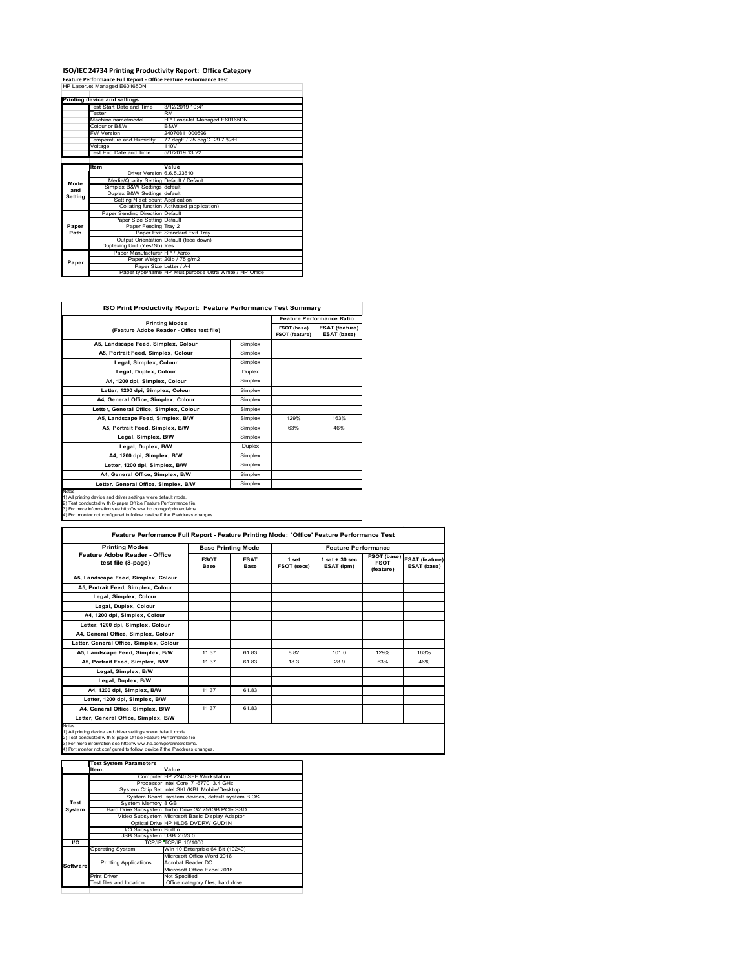# **ISO/IEC 24734 Printing Productivity Report: Office Category<br>Feature Performance Full Report - Office Feature Performance Test<br>HP LaserJet Managed E60165DN**

|         | Printing device and settings            |                                                         |
|---------|-----------------------------------------|---------------------------------------------------------|
|         | Test Start Date and Time                | 3/12/2019 10:41                                         |
|         | Tester                                  | <b>RM</b>                                               |
|         | Machine name/model                      | HP LaserJet Managed E60165DN                            |
|         | Colour or B&W                           | B&W                                                     |
|         | <b>FW Version</b>                       | 2407081 000596                                          |
|         | Temperature and Humidity                | 77 degF / 25 degC 29.7 %rH                              |
|         | Voltage                                 | 110V                                                    |
|         | Test End Date and Time                  | 5/1/2019 13:22                                          |
|         |                                         |                                                         |
|         | <b>Item</b>                             | Value                                                   |
|         | Driver Version 6.6.5.23510              |                                                         |
| Mode    | Media/Quality Setting Default / Default |                                                         |
| and     | Simplex B&W Settings default            |                                                         |
| Setting | Duplex B&W Settings default             |                                                         |
|         | Setting N set count Application         |                                                         |
|         |                                         | Collating function Activated (application)              |
|         | Paper Sending Direction Default         |                                                         |
|         | Paper Size Setting Default              |                                                         |
| Paper   | Paper Feeding Tray 2                    |                                                         |
| Path    |                                         | Paper Exit Standard Exit Tray                           |
|         |                                         | Output Orientation Default (face down)                  |
|         | Duplexing Unit (Yes/No) Yes             |                                                         |
|         | Paper Manufacturer HP / Xerox           |                                                         |
| Paper   |                                         | Paper Weight 20lb / 75 g/m2                             |
|         |                                         | Paper Size Letter / A4                                  |
|         |                                         | Paper type/name HP Multipurpose Ultra White / HP Office |

| <b>ISO Print Productivity Report: Feature Performance Test Summary</b>                                                                                                                                                                                                                             |         |                               |                                      |
|----------------------------------------------------------------------------------------------------------------------------------------------------------------------------------------------------------------------------------------------------------------------------------------------------|---------|-------------------------------|--------------------------------------|
|                                                                                                                                                                                                                                                                                                    |         |                               | <b>Feature Performance Ratio</b>     |
| <b>Printing Modes</b><br>(Feature Adobe Reader - Office test file)                                                                                                                                                                                                                                 |         | FSOT (base)<br>FSOT (feature) | <b>ESAT (feature)</b><br>ESAT (base) |
| A5, Landscape Feed, Simplex, Colour                                                                                                                                                                                                                                                                | Simplex |                               |                                      |
| A5, Portrait Feed, Simplex, Colour                                                                                                                                                                                                                                                                 | Simplex |                               |                                      |
| Legal, Simplex, Colour                                                                                                                                                                                                                                                                             | Simplex |                               |                                      |
| Legal, Duplex, Colour                                                                                                                                                                                                                                                                              | Duplex  |                               |                                      |
| A4, 1200 dpi, Simplex, Colour                                                                                                                                                                                                                                                                      | Simplex |                               |                                      |
| Letter, 1200 dpi, Simplex, Colour                                                                                                                                                                                                                                                                  | Simplex |                               |                                      |
| A4. General Office. Simplex. Colour                                                                                                                                                                                                                                                                | Simplex |                               |                                      |
| Letter, General Office, Simplex, Colour                                                                                                                                                                                                                                                            | Simplex |                               |                                      |
| A5, Landscape Feed, Simplex, B/W                                                                                                                                                                                                                                                                   | Simplex | 129%                          | 163%                                 |
| A5, Portrait Feed, Simplex, B/W                                                                                                                                                                                                                                                                    | Simplex | 63%                           | 46%                                  |
| Legal, Simplex, B/W                                                                                                                                                                                                                                                                                | Simplex |                               |                                      |
| Legal, Duplex, B/W                                                                                                                                                                                                                                                                                 | Duplex  |                               |                                      |
| A4, 1200 dpi, Simplex, B/W                                                                                                                                                                                                                                                                         | Simplex |                               |                                      |
| Letter, 1200 dpi, Simplex, B/W                                                                                                                                                                                                                                                                     | Simplex |                               |                                      |
| A4, General Office, Simplex, B/W                                                                                                                                                                                                                                                                   | Simplex |                               |                                      |
| Letter, General Office, Simplex, B/W                                                                                                                                                                                                                                                               | Simplex |                               |                                      |
| <b>Notes</b><br>1) All printing device and driver settings w ere default mode.<br>2) Test conducted with 8-paper Office Feature Performance file.<br>3) For more information see http://www.hp.com/go/printerclaims.<br>4) Port monitor not configured to follow device if the IP address changes. |         |                               |                                      |

| <b>Printing Modes</b>                               |                     | <b>Base Printing Mode</b>  |                      | <b>Feature Performance</b>      |                                                |                                      |
|-----------------------------------------------------|---------------------|----------------------------|----------------------|---------------------------------|------------------------------------------------|--------------------------------------|
| Feature Adobe Reader - Office<br>test file (8-page) | <b>FSOT</b><br>Base | <b>ESAT</b><br><b>Base</b> | 1 set<br>FSOT (secs) | $1$ set $+30$ sec<br>ESAT (ipm) | <b>FSOT</b> (base)<br><b>FSOT</b><br>(feature) | <b>ESAT</b> (feature)<br>ESAT (base) |
| A5. Landscape Feed. Simplex. Colour                 |                     |                            |                      |                                 |                                                |                                      |
| A5, Portrait Feed, Simplex, Colour                  |                     |                            |                      |                                 |                                                |                                      |
| Legal, Simplex, Colour                              |                     |                            |                      |                                 |                                                |                                      |
| Legal, Duplex, Colour                               |                     |                            |                      |                                 |                                                |                                      |
| A4, 1200 dpi, Simplex, Colour                       |                     |                            |                      |                                 |                                                |                                      |
| Letter, 1200 dpi, Simplex, Colour                   |                     |                            |                      |                                 |                                                |                                      |
| A4. General Office. Simplex. Colour                 |                     |                            |                      |                                 |                                                |                                      |
| Letter, General Office, Simplex, Colour             |                     |                            |                      |                                 |                                                |                                      |
| A5, Landscape Feed, Simplex, B/W                    | 11.37               | 6183                       | 8.82                 | 1010                            | 129%                                           | 163%                                 |
| A5, Portrait Feed, Simplex, B/W                     | 11.37               | 61.83                      | 18.3                 | 28.9                            | 63%                                            | 46%                                  |
| Legal, Simplex, B/W                                 |                     |                            |                      |                                 |                                                |                                      |
| Legal, Duplex, B/W                                  |                     |                            |                      |                                 |                                                |                                      |
| A4. 1200 dpi. Simplex. B/W                          | 11.37               | 61.83                      |                      |                                 |                                                |                                      |
| Letter, 1200 dpi, Simplex, B/W                      |                     |                            |                      |                                 |                                                |                                      |
| A4. General Office. Simplex. B/W                    | 11.37               | 61.83                      |                      |                                 |                                                |                                      |
| Letter, General Office, Simplex, B/W                |                     |                            |                      |                                 |                                                |                                      |

1) All printing device and driver settings were default mode.<br>2) Test conducted with 8-paper Office Feature Performance file<br>3) For more information see http://www.hp.com/go/printerclaims.<br>4) Port monitor not configured to

|           | <b>Test System Parameters</b> |                                                    |
|-----------|-------------------------------|----------------------------------------------------|
|           | <b>Item</b>                   | Value                                              |
|           |                               | Computer HP Z240 SFF Workstation                   |
|           |                               | Processor Intel Core i7 -6770, 3.4 GHz             |
|           |                               | System Chip Set Intel SKL/KBL Mobile/Desktop       |
|           |                               | System Board system devices, default system BIOS   |
| Test      | System Memory 8 GB            |                                                    |
| System    |                               | Hard Drive Subsystem Turbo Drive G2 256GB PCle SSD |
|           |                               | Video Subsystem Microsoft Basic Display Adaptor    |
|           |                               | Optical Drive HP HLDS DVDRW GUD1N                  |
|           | I/O Subsystem Builtin         |                                                    |
|           | USB Subsystem USB 2.0/3.0     |                                                    |
| <b>VO</b> |                               | TCP/IP/TCP/IP 10/1000                              |
|           | <b>Operating System</b>       | Win 10 Enterprise 64 Bit (10240)                   |
|           |                               | Microsoft Office Word 2016                         |
| Software  | <b>Printing Applications</b>  | Acrobat Reader DC                                  |
|           |                               | Microsoft Office Excel 2016                        |
|           | <b>Print Driver</b>           | Not Specified                                      |
|           | Test files and location       | Office category files, hard drive                  |
|           |                               |                                                    |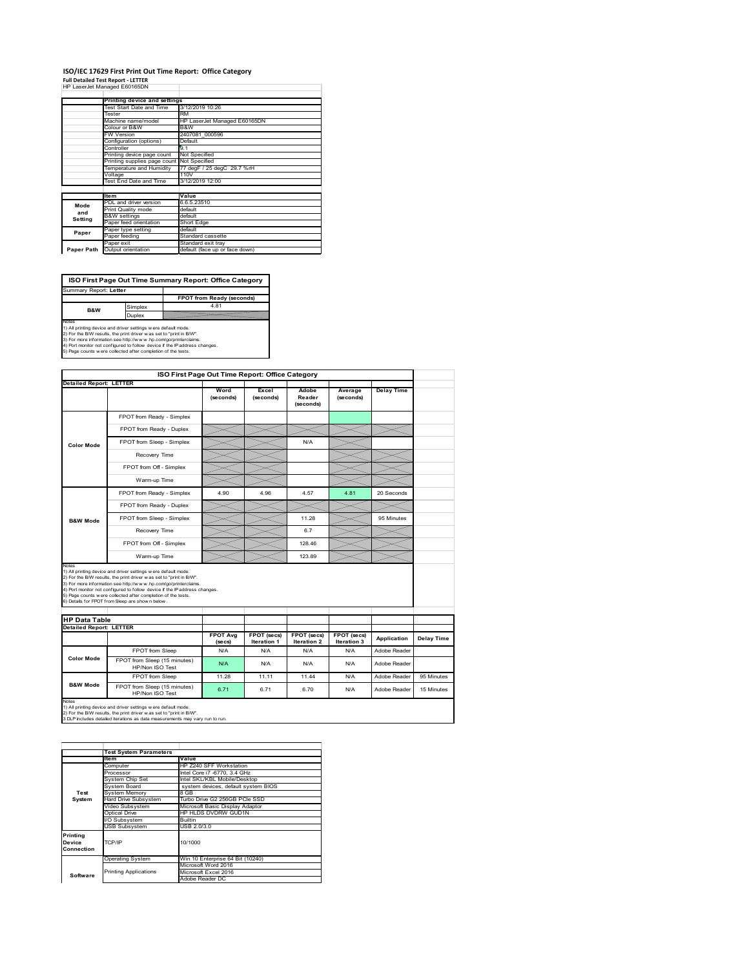#### **ISO/IEC 17629 First Print Out Time Report: Office Category Full Detailed Test Report ‐ LETTER**

|            | rull Detailed Test Report - LETTER         |                                |
|------------|--------------------------------------------|--------------------------------|
|            | HP LaserJet Managed E60165DN               |                                |
|            |                                            |                                |
|            | Printing device and settings               |                                |
|            | Test Start Date and Time                   | 3/12/2019 10:26                |
|            | Tester                                     | <b>RM</b>                      |
|            | Machine name/model                         | HP LaserJet Managed E60165DN   |
|            | Colour or B&W                              | B&W                            |
|            | <b>FW Version</b>                          | 2407081 000596                 |
|            | Configuration (options)                    | Default                        |
|            | Controller                                 | 9.1                            |
|            | Printing device page count                 | Not Specified                  |
|            | Printing supplies page count Not Specified |                                |
|            | Temperature and Humidity                   | 77 degF / 25 degC 29.7 %rH     |
|            | Voltage                                    | 110V                           |
|            | Test End Date and Time                     | 3/12/2019 12:00                |
|            |                                            |                                |
|            | <b>Item</b>                                | Value                          |
| Mode       | PDL and driver version                     | 6.6.5.23510                    |
| and        | Print Quality mode                         | default                        |
|            | <b>B&amp;W</b> settings                    | default                        |
| Setting    | Paper feed orientation                     | Short Edge                     |
| Paper      | Paper type setting                         | default                        |
|            | Paper feeding                              | Standard cassette              |
|            | Paper exit                                 | Standard exit trav             |
| Paper Path | Output orientation                         | default (face up or face down) |
|            |                                            |                                |

**FPOT from Ready (seconds)**<br>
Simplex 4.81 **Duplex**<br>Notes<br>1) All printing device and driver settings were default mode.<br>2) For the BM results, the print driver was set to "print in BM".<br>4) For more information see http://www.hp.com/golprinterclaims.<br>4) Port monitor **ISO First Page Out Time Summary Report: Office Category** t: Letter **B&W**

|                                                                 |                                                                                                                                                                                                                                                                                                                                                                                                             | ISO First Page Out Time Report: Office Category |                    |                              |                      |                              |            |
|-----------------------------------------------------------------|-------------------------------------------------------------------------------------------------------------------------------------------------------------------------------------------------------------------------------------------------------------------------------------------------------------------------------------------------------------------------------------------------------------|-------------------------------------------------|--------------------|------------------------------|----------------------|------------------------------|------------|
| <b>Detailed Report: LETTER</b>                                  |                                                                                                                                                                                                                                                                                                                                                                                                             | Word<br>(seconds)                               | Excel<br>(seconds) | Adobe<br>Reader<br>(seconds) | Average<br>(seconds) | <b>Delay Time</b>            |            |
|                                                                 | FPOT from Ready - Simplex                                                                                                                                                                                                                                                                                                                                                                                   |                                                 |                    |                              |                      |                              |            |
|                                                                 | FPOT from Ready - Duplex                                                                                                                                                                                                                                                                                                                                                                                    |                                                 |                    |                              |                      |                              |            |
| <b>Color Mode</b>                                               | FPOT from Sleep - Simplex                                                                                                                                                                                                                                                                                                                                                                                   |                                                 |                    | N/A                          |                      |                              |            |
|                                                                 | Recovery Time                                                                                                                                                                                                                                                                                                                                                                                               |                                                 |                    |                              |                      |                              |            |
|                                                                 | FPOT from Off - Simplex                                                                                                                                                                                                                                                                                                                                                                                     |                                                 |                    |                              |                      |                              |            |
|                                                                 | Warm-up Time                                                                                                                                                                                                                                                                                                                                                                                                |                                                 |                    |                              |                      |                              |            |
|                                                                 | FPOT from Ready - Simplex                                                                                                                                                                                                                                                                                                                                                                                   | 4.90                                            | 4.96               | 4.57                         | 4.81                 | 20 Seconds                   |            |
|                                                                 | FPOT from Ready - Duplex                                                                                                                                                                                                                                                                                                                                                                                    |                                                 |                    |                              |                      |                              |            |
| <b>B&amp;W Mode</b>                                             | FPOT from Sleep - Simplex                                                                                                                                                                                                                                                                                                                                                                                   |                                                 |                    | 11.28                        |                      | 95 Minutes                   |            |
|                                                                 | Recovery Time                                                                                                                                                                                                                                                                                                                                                                                               |                                                 |                    | 6.7                          |                      |                              |            |
|                                                                 |                                                                                                                                                                                                                                                                                                                                                                                                             |                                                 |                    |                              |                      |                              |            |
|                                                                 | FPOT from Off - Simplex                                                                                                                                                                                                                                                                                                                                                                                     |                                                 |                    | 128.46                       |                      |                              |            |
|                                                                 | Warm-up Time                                                                                                                                                                                                                                                                                                                                                                                                |                                                 |                    | 123.89                       |                      |                              |            |
| Notes<br><b>HP Data Table</b><br><b>Detailed Report: LETTER</b> | 1) All printing device and driver settings w ere default mode.<br>2) For the B/W results, the print driver was set to "print in B/W".<br>3) For more information see http://www.hp.com/go/printerclaims.<br>4) Port monitor not configured to follow device if the IP address changes.<br>5) Page counts w ere collected after completion of the tests.<br>6) Details for FPOT from Sleep are show n below. | <b>FPOT Avg</b>                                 | FPOT (secs)        | FPOT (secs)                  | FPOT (secs)          |                              |            |
|                                                                 |                                                                                                                                                                                                                                                                                                                                                                                                             | (se cs)                                         | Iteration 1        | Iteration 2                  | Iteration 3          | Application                  | Delay Time |
| <b>Color Mode</b>                                               | FPOT from Sleep<br>FPOT from Sleep (15 minutes)<br>HP/Non ISO Test                                                                                                                                                                                                                                                                                                                                          | N/A<br>N/A                                      | N/A<br>N/A         | N/A<br>N/A                   | N/A<br>N/A           | Adobe Reader<br>Adobe Reader |            |
| <b>B&amp;W Mode</b>                                             | FPOT from Sleep                                                                                                                                                                                                                                                                                                                                                                                             | 11.28                                           | 11.11              | 11.44                        | N/A                  | Adobe Reader                 | 95 Minutes |

|                                  | <b>Test System Parameters</b> |                                     |  |  |  |  |
|----------------------------------|-------------------------------|-------------------------------------|--|--|--|--|
|                                  | <b>Item</b>                   | Value                               |  |  |  |  |
|                                  | Computer                      | HP Z240 SFF Workstation             |  |  |  |  |
|                                  | Processor                     | Intel Core i7 -6770, 3.4 GHz        |  |  |  |  |
|                                  | System Chip Set               | Intel SKL/KBL Mobile/Desktop        |  |  |  |  |
|                                  | System Board                  | system devices, default system BIOS |  |  |  |  |
| Test                             | <b>System Memory</b>          | 8 GB                                |  |  |  |  |
| System                           | Hard Drive Subsystem          | Turbo Drive G2 256GB PCle SSD       |  |  |  |  |
|                                  | Video Subsystem               | Microsoft Basic Display Adaptor     |  |  |  |  |
|                                  | Optical Drive                 | HP HLDS DVDRW GUD1N                 |  |  |  |  |
|                                  | I/O Subsystem                 | <b>Builtin</b>                      |  |  |  |  |
|                                  | <b>USB Subsystem</b>          | USB 2.0/3.0                         |  |  |  |  |
| Printing<br>Device<br>Connection | TCP/IP                        | 10/1000                             |  |  |  |  |
|                                  | <b>Operating System</b>       | Win 10 Enterprise 64 Bit (10240)    |  |  |  |  |
|                                  |                               | Microsoft Word 2016                 |  |  |  |  |
| Software                         | <b>Printing Applications</b>  | Microsoft Excel 2016                |  |  |  |  |
|                                  |                               | Adobe Reader DC                     |  |  |  |  |